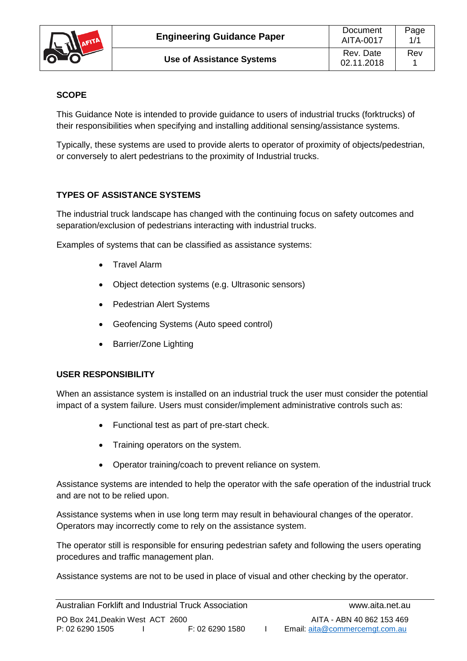

## **SCOPE**

This Guidance Note is intended to provide guidance to users of industrial trucks (forktrucks) of their responsibilities when specifying and installing additional sensing/assistance systems.

Typically, these systems are used to provide alerts to operator of proximity of objects/pedestrian, or conversely to alert pedestrians to the proximity of Industrial trucks.

## **TYPES OF ASSISTANCE SYSTEMS**

The industrial truck landscape has changed with the continuing focus on safety outcomes and separation/exclusion of pedestrians interacting with industrial trucks.

Examples of systems that can be classified as assistance systems:

- Travel Alarm
- Object detection systems (e.g. Ultrasonic sensors)
- Pedestrian Alert Systems
- Geofencing Systems (Auto speed control)
- Barrier/Zone Lighting

## **USER RESPONSIBILITY**

When an assistance system is installed on an industrial truck the user must consider the potential impact of a system failure. Users must consider/implement administrative controls such as:

- Functional test as part of pre-start check.
- Training operators on the system.
- Operator training/coach to prevent reliance on system.

Assistance systems are intended to help the operator with the safe operation of the industrial truck and are not to be relied upon.

Assistance systems when in use long term may result in behavioural changes of the operator. Operators may incorrectly come to rely on the assistance system.

The operator still is responsible for ensuring pedestrian safety and following the users operating procedures and traffic management plan.

Assistance systems are not to be used in place of visual and other checking by the operator.